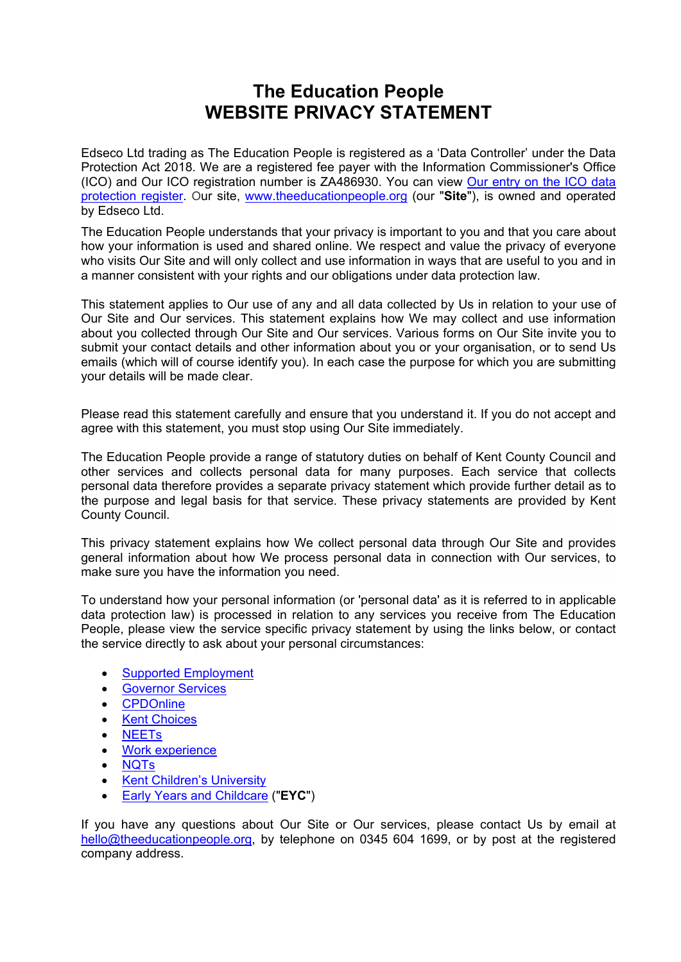# **The Education People WEBSITE PRIVACY STATEMENT**

Edseco Ltd trading as The Education People is registered as a 'Data Controller' under the Data Protection Act 2018. We are a registered fee payer with the Information Commissioner's Office (ICO) and Our ICO registration number is ZA486930. You can view Our entry on the ICO data protection register. Our site, www.theeducationpeople.org (our "**Site**"), is owned and operated by Edseco Ltd.

The Education People understands that your privacy is important to you and that you care about how your information is used and shared online. We respect and value the privacy of everyone who visits Our Site and will only collect and use information in ways that are useful to you and in a manner consistent with your rights and our obligations under data protection law.

This statement applies to Our use of any and all data collected by Us in relation to your use of Our Site and Our services. This statement explains how We may collect and use information about you collected through Our Site and Our services. Various forms on Our Site invite you to submit your contact details and other information about you or your organisation, or to send Us emails (which will of course identify you). In each case the purpose for which you are submitting your details will be made clear.

Please read this statement carefully and ensure that you understand it. If you do not accept and agree with this statement, you must stop using Our Site immediately.

The Education People provide a range of statutory duties on behalf of Kent County Council and other services and collects personal data for many purposes. Each service that collects personal data therefore provides a separate privacy statement which provide further detail as to the purpose and legal basis for that service. These privacy statements are provided by Kent County Council.

This privacy statement explains how We collect personal data through Our Site and provides general information about how We process personal data in connection with Our services, to make sure you have the information you need.

To understand how your personal information (or 'personal data' as it is referred to in applicable data protection law) is processed in relation to any services you receive from The Education People, please view the service specific privacy statement by using the links below, or contact the service directly to ask about your personal circumstances:

- Supported Employment
- **Governor Services**
- CPDOnline
- Kent Choices
- NEETs
- Work experience
- NQTs
- Kent Children's University
- Early Years and Childcare ("**EYC**")

If you have any questions about Our Site or Our services, please contact Us by email at hello@theeducationpeople.org, by telephone on 0345 604 1699, or by post at the registered company address.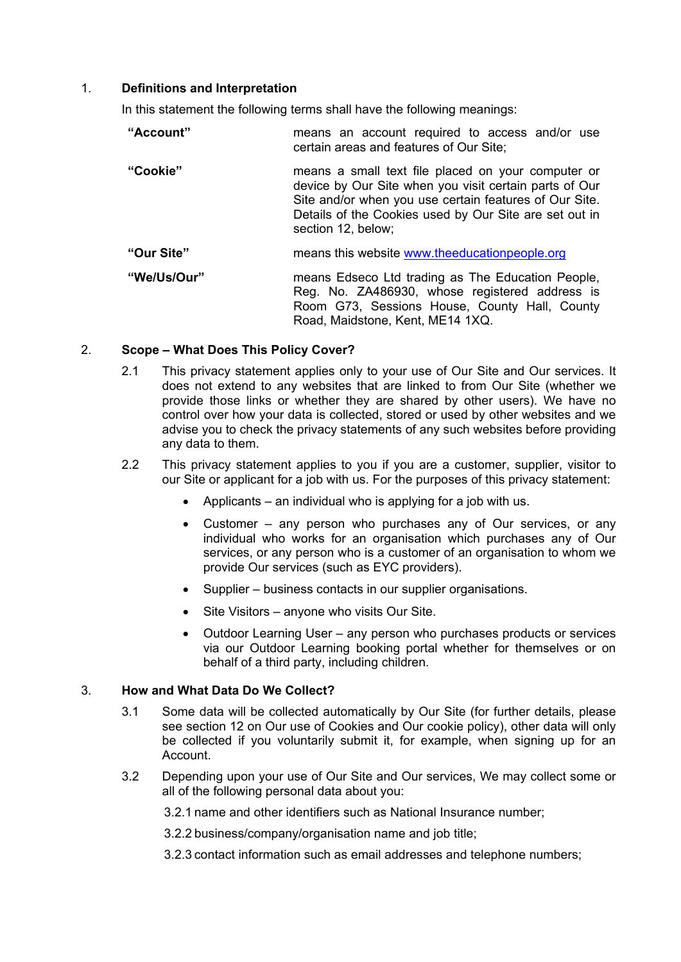# 1. **Definitions and Interpretation**

In this statement the following terms shall have the following meanings:

| "Account"   | means an account required to access and/or use<br>certain areas and features of Our Site;                                                                                                                                                              |  |  |
|-------------|--------------------------------------------------------------------------------------------------------------------------------------------------------------------------------------------------------------------------------------------------------|--|--|
| "Cookie"    | means a small text file placed on your computer or<br>device by Our Site when you visit certain parts of Our<br>Site and/or when you use certain features of Our Site.<br>Details of the Cookies used by Our Site are set out in<br>section 12, below; |  |  |
| "Our Site"  | means this website www.theeducationpeople.org                                                                                                                                                                                                          |  |  |
| "We/Us/Our" | means Edseco Ltd trading as The Education People,<br>Reg. No. ZA486930, whose registered address is<br>Room G73, Sessions House, County Hall, County<br>Road, Maidstone, Kent, ME14 1XQ.                                                               |  |  |

# 2. **Scope – What Does This Policy Cover?**

- 2.1 This privacy statement applies only to your use of Our Site and Our services. It does not extend to any websites that are linked to from Our Site (whether we provide those links or whether they are shared by other users). We have no control over how your data is collected, stored or used by other websites and we advise you to check the privacy statements of any such websites before providing any data to them.
- 2.2 This privacy statement applies to you if you are a customer, supplier, visitor to our Site or applicant for a job with us. For the purposes of this privacy statement:
	- Applicants an individual who is applying for a job with us.
	- Customer any person who purchases any of Our services, or any individual who works for an organisation which purchases any of Our services, or any person who is a customer of an organisation to whom we provide Our services (such as EYC providers).
	- Supplier business contacts in our supplier organisations.
	- Site Visitors anyone who visits Our Site.
	- Outdoor Learning User any person who purchases products or services via our Outdoor Learning booking portal whether for themselves or on behalf of a third party, including children.

## 3. **How and What Data Do We Collect?**

- 3.1 Some data will be collected automatically by Our Site (for further details, please see section 12 on Our use of Cookies and Our cookie policy), other data will only be collected if you voluntarily submit it, for example, when signing up for an Account.
- 3.2 Depending upon your use of Our Site and Our services, We may collect some or all of the following personal data about you:

3.2.1 name and other identifiers such as National Insurance number;

3.2.2 business/company/organisation name and job title;

3.2.3 contact information such as email addresses and telephone numbers;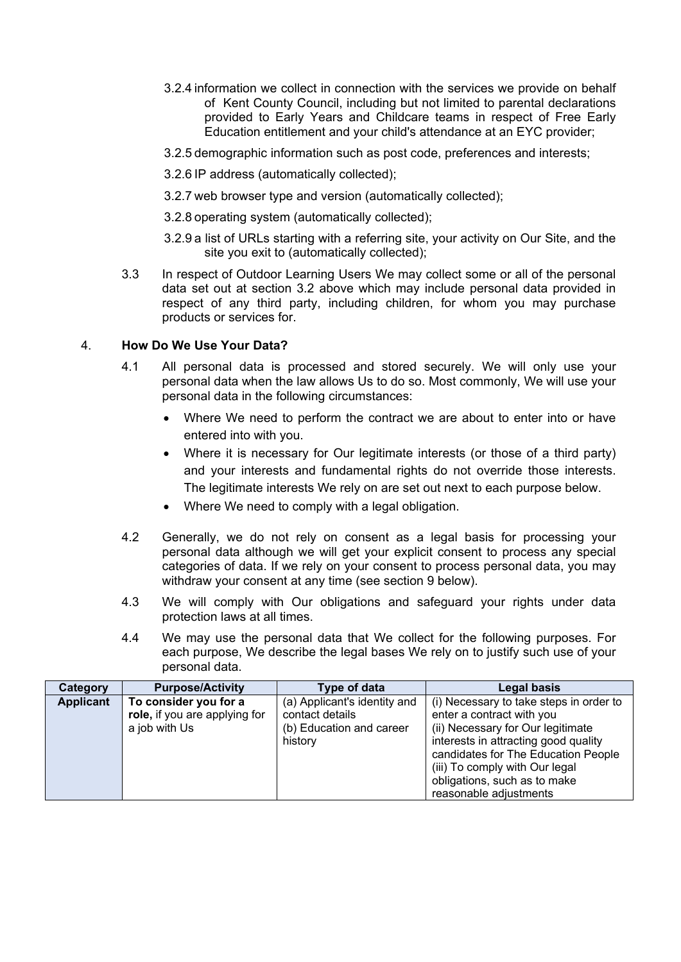- 3.2.4 information we collect in connection with the services we provide on behalf of Kent County Council, including but not limited to parental declarations provided to Early Years and Childcare teams in respect of Free Early Education entitlement and your child's attendance at an EYC provider;
- 3.2.5 demographic information such as post code, preferences and interests;
- 3.2.6 IP address (automatically collected);
- 3.2.7 web browser type and version (automatically collected);
- 3.2.8 operating system (automatically collected);
- 3.2.9 a list of URLs starting with a referring site, your activity on Our Site, and the site you exit to (automatically collected);
- 3.3 In respect of Outdoor Learning Users We may collect some or all of the personal data set out at section 3.2 above which may include personal data provided in respect of any third party, including children, for whom you may purchase products or services for.

# 4. **How Do We Use Your Data?**

- 4.1 All personal data is processed and stored securely. We will only use your personal data when the law allows Us to do so. Most commonly, We will use your personal data in the following circumstances:
	- Where We need to perform the contract we are about to enter into or have entered into with you.
	- Where it is necessary for Our legitimate interests (or those of a third party) and your interests and fundamental rights do not override those interests. The legitimate interests We rely on are set out next to each purpose below.
	- Where We need to comply with a legal obligation.
- 4.2 Generally, we do not rely on consent as a legal basis for processing your personal data although we will get your explicit consent to process any special categories of data. If we rely on your consent to process personal data, you may withdraw your consent at any time (see section 9 below).
- 4.3 We will comply with Our obligations and safeguard your rights under data protection laws at all times.
- 4.4 We may use the personal data that We collect for the following purposes. For each purpose, We describe the legal bases We rely on to justify such use of your personal data.

| Category         | <b>Purpose/Activity</b>                                                 | Type of data                                                                           | Legal basis                                                                                                                                                                                                                |
|------------------|-------------------------------------------------------------------------|----------------------------------------------------------------------------------------|----------------------------------------------------------------------------------------------------------------------------------------------------------------------------------------------------------------------------|
| <b>Applicant</b> | To consider you for a<br>role, if you are applying for<br>a job with Us | (a) Applicant's identity and<br>contact details<br>(b) Education and career<br>history | (i) Necessary to take steps in order to<br>enter a contract with you<br>(ii) Necessary for Our legitimate<br>interests in attracting good quality<br>candidates for The Education People<br>(iii) To comply with Our legal |
|                  |                                                                         |                                                                                        | obligations, such as to make<br>reasonable adjustments                                                                                                                                                                     |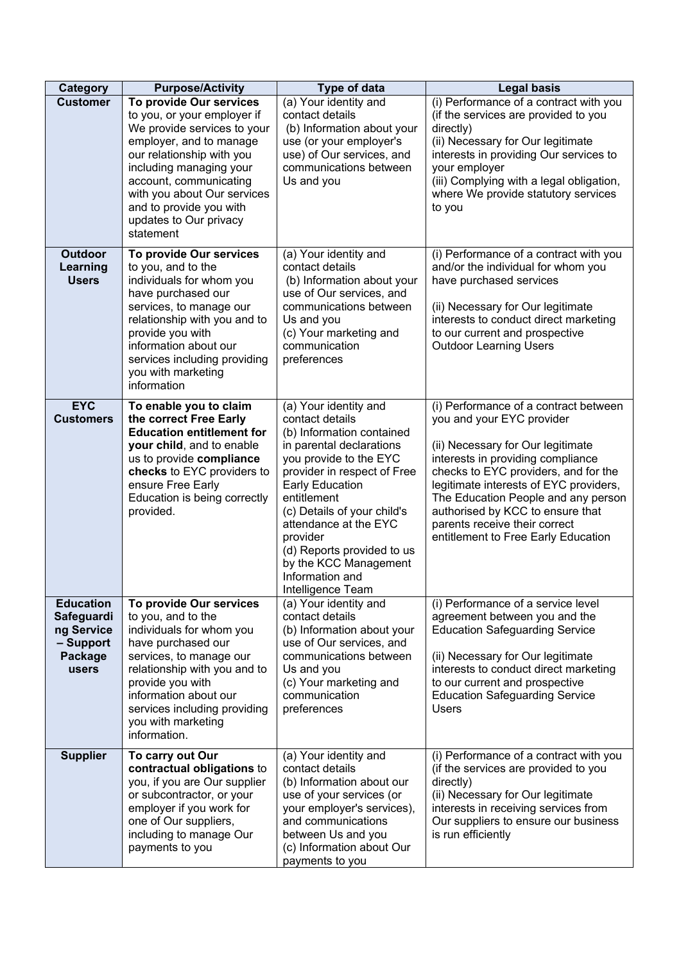| <b>Category</b>                                                               | <b>Purpose/Activity</b>                                                                                                                                                                                                                                                                             | Type of data                                                                                                                                                                                                                                                                                                                                                           | <b>Legal basis</b>                                                                                                                                                                                                                                                                                                                                                                |
|-------------------------------------------------------------------------------|-----------------------------------------------------------------------------------------------------------------------------------------------------------------------------------------------------------------------------------------------------------------------------------------------------|------------------------------------------------------------------------------------------------------------------------------------------------------------------------------------------------------------------------------------------------------------------------------------------------------------------------------------------------------------------------|-----------------------------------------------------------------------------------------------------------------------------------------------------------------------------------------------------------------------------------------------------------------------------------------------------------------------------------------------------------------------------------|
| <b>Customer</b>                                                               | To provide Our services<br>to you, or your employer if<br>We provide services to your<br>employer, and to manage<br>our relationship with you<br>including managing your<br>account, communicating<br>with you about Our services<br>and to provide you with<br>updates to Our privacy<br>statement | (a) Your identity and<br>contact details<br>(b) Information about your<br>use (or your employer's<br>use) of Our services, and<br>communications between<br>Us and you                                                                                                                                                                                                 | (i) Performance of a contract with you<br>(if the services are provided to you<br>directly)<br>(ii) Necessary for Our legitimate<br>interests in providing Our services to<br>your employer<br>(iii) Complying with a legal obligation,<br>where We provide statutory services<br>to you                                                                                          |
| <b>Outdoor</b><br>Learning<br><b>Users</b>                                    | To provide Our services<br>to you, and to the<br>individuals for whom you<br>have purchased our<br>services, to manage our<br>relationship with you and to<br>provide you with<br>information about our<br>services including providing<br>you with marketing<br>information                        | (a) Your identity and<br>contact details<br>(b) Information about your<br>use of Our services, and<br>communications between<br>Us and you<br>(c) Your marketing and<br>communication<br>preferences                                                                                                                                                                   | (i) Performance of a contract with you<br>and/or the individual for whom you<br>have purchased services<br>(ii) Necessary for Our legitimate<br>interests to conduct direct marketing<br>to our current and prospective<br><b>Outdoor Learning Users</b>                                                                                                                          |
| <b>EYC</b><br><b>Customers</b>                                                | To enable you to claim<br>the correct Free Early<br><b>Education entitlement for</b><br>your child, and to enable<br>us to provide compliance<br>checks to EYC providers to<br>ensure Free Early<br>Education is being correctly<br>provided.                                                       | (a) Your identity and<br>contact details<br>(b) Information contained<br>in parental declarations<br>you provide to the EYC<br>provider in respect of Free<br><b>Early Education</b><br>entitlement<br>(c) Details of your child's<br>attendance at the EYC<br>provider<br>(d) Reports provided to us<br>by the KCC Management<br>Information and<br>Intelligence Team | (i) Performance of a contract between<br>you and your EYC provider<br>(ii) Necessary for Our legitimate<br>interests in providing compliance<br>checks to EYC providers, and for the<br>legitimate interests of EYC providers,<br>The Education People and any person<br>authorised by KCC to ensure that<br>parents receive their correct<br>entitlement to Free Early Education |
| <b>Education</b><br>Safeguardi<br>ng Service<br>- Support<br>Package<br>users | To provide Our services<br>to you, and to the<br>individuals for whom you<br>have purchased our<br>services, to manage our<br>relationship with you and to<br>provide you with<br>information about our<br>services including providing<br>you with marketing<br>information.                       | (a) Your identity and<br>contact details<br>(b) Information about your<br>use of Our services, and<br>communications between<br>Us and you<br>(c) Your marketing and<br>communication<br>preferences                                                                                                                                                                   | (i) Performance of a service level<br>agreement between you and the<br><b>Education Safeguarding Service</b><br>(ii) Necessary for Our legitimate<br>interests to conduct direct marketing<br>to our current and prospective<br><b>Education Safeguarding Service</b><br><b>Users</b>                                                                                             |
| <b>Supplier</b>                                                               | To carry out Our<br>contractual obligations to<br>you, if you are Our supplier<br>or subcontractor, or your<br>employer if you work for<br>one of Our suppliers,<br>including to manage Our<br>payments to you                                                                                      | (a) Your identity and<br>contact details<br>(b) Information about our<br>use of your services (or<br>your employer's services),<br>and communications<br>between Us and you<br>(c) Information about Our<br>payments to you                                                                                                                                            | (i) Performance of a contract with you<br>(if the services are provided to you<br>directly)<br>(ii) Necessary for Our legitimate<br>interests in receiving services from<br>Our suppliers to ensure our business<br>is run efficiently                                                                                                                                            |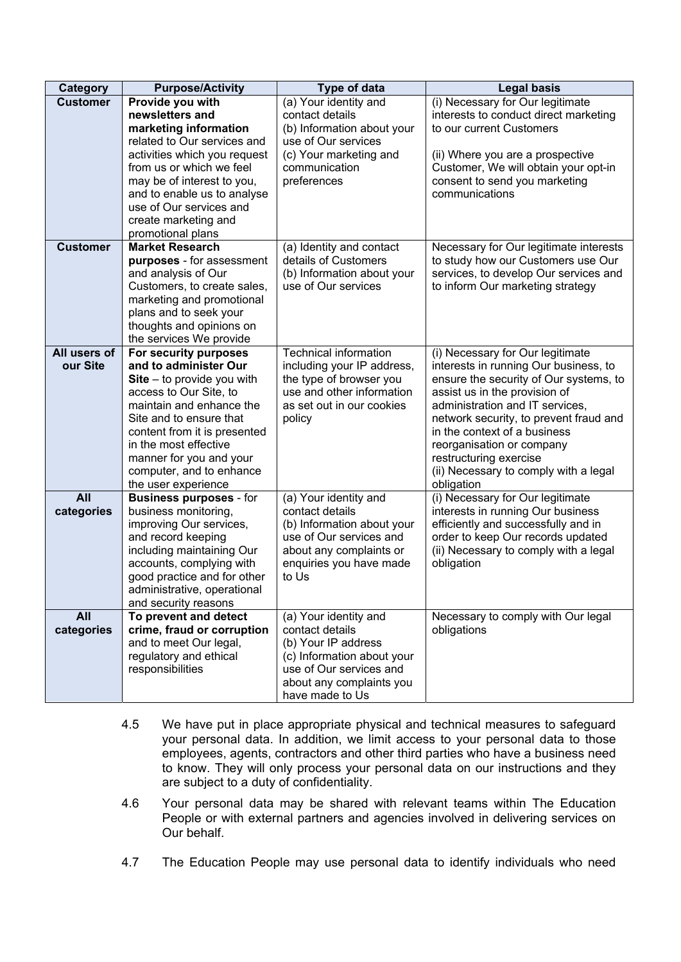| Category          | <b>Purpose/Activity</b>                             | Type of data                             | <b>Legal basis</b>                                |
|-------------------|-----------------------------------------------------|------------------------------------------|---------------------------------------------------|
| <b>Customer</b>   | Provide you with                                    | (a) Your identity and                    | (i) Necessary for Our legitimate                  |
|                   | newsletters and                                     | contact details                          | interests to conduct direct marketing             |
|                   | marketing information                               | (b) Information about your               | to our current Customers                          |
|                   | related to Our services and                         | use of Our services                      |                                                   |
|                   | activities which you request                        | (c) Your marketing and                   | (ii) Where you are a prospective                  |
|                   | from us or which we feel                            | communication                            | Customer, We will obtain your opt-in              |
|                   | may be of interest to you,                          | preferences                              | consent to send you marketing                     |
|                   | and to enable us to analyse                         |                                          | communications                                    |
|                   | use of Our services and                             |                                          |                                                   |
|                   | create marketing and                                |                                          |                                                   |
|                   | promotional plans                                   |                                          |                                                   |
| <b>Customer</b>   | <b>Market Research</b>                              | (a) Identity and contact                 | Necessary for Our legitimate interests            |
|                   | purposes - for assessment                           | details of Customers                     | to study how our Customers use Our                |
|                   | and analysis of Our                                 | (b) Information about your               | services, to develop Our services and             |
|                   | Customers, to create sales,                         | use of Our services                      | to inform Our marketing strategy                  |
|                   | marketing and promotional                           |                                          |                                                   |
|                   | plans and to seek your                              |                                          |                                                   |
|                   | thoughts and opinions on                            |                                          |                                                   |
|                   | the services We provide                             |                                          |                                                   |
| All users of      | For security purposes                               | <b>Technical information</b>             | (i) Necessary for Our legitimate                  |
| our Site          | and to administer Our                               | including your IP address,               | interests in running Our business, to             |
|                   | $Site - to provide you with$                        | the type of browser you                  | ensure the security of Our systems, to            |
|                   | access to Our Site, to                              | use and other information                | assist us in the provision of                     |
|                   | maintain and enhance the                            | as set out in our cookies                | administration and IT services,                   |
|                   | Site and to ensure that                             | policy                                   | network security, to prevent fraud and            |
|                   | content from it is presented                        |                                          | in the context of a business                      |
|                   | in the most effective                               |                                          | reorganisation or company                         |
|                   | manner for you and your                             |                                          | restructuring exercise                            |
|                   | computer, and to enhance                            |                                          | (ii) Necessary to comply with a legal             |
|                   | the user experience                                 |                                          | obligation                                        |
| All               | <b>Business purposes - for</b>                      | (a) Your identity and                    | (i) Necessary for Our legitimate                  |
| categories        | business monitoring,                                | contact details                          | interests in running Our business                 |
|                   | improving Our services,                             | (b) Information about your               | efficiently and successfully and in               |
|                   | and record keeping                                  | use of Our services and                  | order to keep Our records updated                 |
|                   | including maintaining Our                           | about any complaints or                  | (ii) Necessary to comply with a legal             |
|                   | accounts, complying with                            | enquiries you have made                  | obligation                                        |
|                   | good practice and for other                         | to Us                                    |                                                   |
|                   | administrative, operational                         |                                          |                                                   |
|                   | and security reasons                                |                                          |                                                   |
| All<br>categories | To prevent and detect<br>crime, fraud or corruption | (a) Your identity and<br>contact details | Necessary to comply with Our legal<br>obligations |
|                   | and to meet Our legal,                              | (b) Your IP address                      |                                                   |
|                   | regulatory and ethical                              | (c) Information about your               |                                                   |
|                   | responsibilities                                    | use of Our services and                  |                                                   |
|                   |                                                     | about any complaints you                 |                                                   |
|                   |                                                     | have made to Us                          |                                                   |

- 4.5 We have put in place appropriate physical and technical measures to safeguard your personal data. In addition, we limit access to your personal data to those employees, agents, contractors and other third parties who have a business need to know. They will only process your personal data on our instructions and they are subject to a duty of confidentiality.
- 4.6 Your personal data may be shared with relevant teams within The Education People or with external partners and agencies involved in delivering services on Our behalf.
- 4.7 The Education People may use personal data to identify individuals who need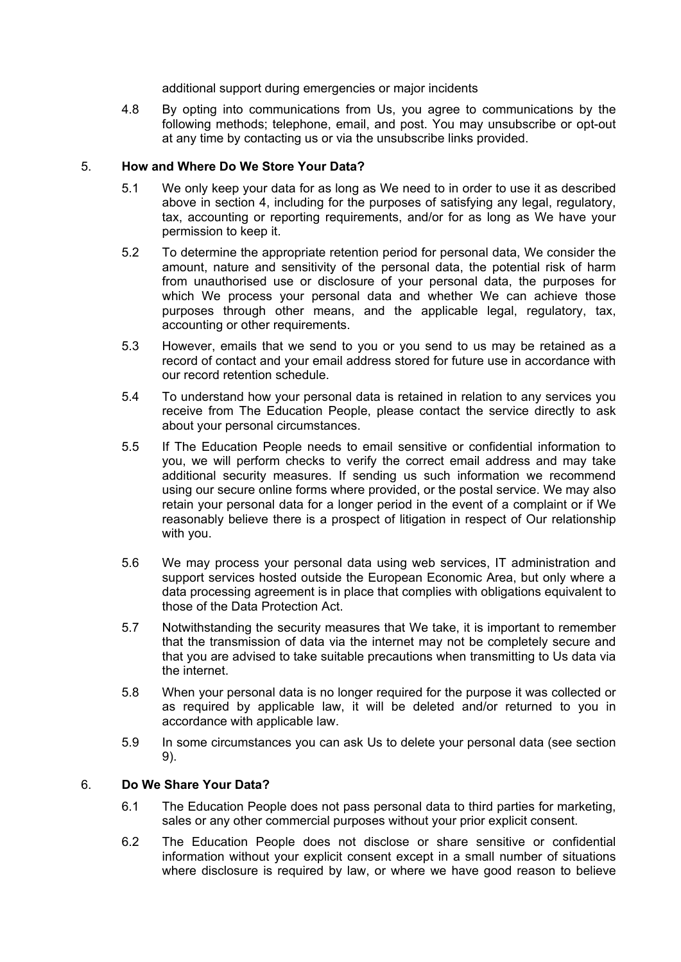additional support during emergencies or major incidents

4.8 By opting into communications from Us, you agree to communications by the following methods; telephone, email, and post. You may unsubscribe or opt-out at any time by contacting us or via the unsubscribe links provided.

## 5. **How and Where Do We Store Your Data?**

- 5.1 We only keep your data for as long as We need to in order to use it as described above in section 4, including for the purposes of satisfying any legal, regulatory, tax, accounting or reporting requirements, and/or for as long as We have your permission to keep it.
- 5.2 To determine the appropriate retention period for personal data, We consider the amount, nature and sensitivity of the personal data, the potential risk of harm from unauthorised use or disclosure of your personal data, the purposes for which We process your personal data and whether We can achieve those purposes through other means, and the applicable legal, regulatory, tax, accounting or other requirements.
- 5.3 However, emails that we send to you or you send to us may be retained as a record of contact and your email address stored for future use in accordance with our record retention schedule.
- 5.4 To understand how your personal data is retained in relation to any services you receive from The Education People, please contact the service directly to ask about your personal circumstances.
- 5.5 If The Education People needs to email sensitive or confidential information to you, we will perform checks to verify the correct email address and may take additional security measures. If sending us such information we recommend using our secure online forms where provided, or the postal service. We may also retain your personal data for a longer period in the event of a complaint or if We reasonably believe there is a prospect of litigation in respect of Our relationship with you.
- 5.6 We may process your personal data using web services, IT administration and support services hosted outside the European Economic Area, but only where a data processing agreement is in place that complies with obligations equivalent to those of the Data Protection Act.
- 5.7 Notwithstanding the security measures that We take, it is important to remember that the transmission of data via the internet may not be completely secure and that you are advised to take suitable precautions when transmitting to Us data via the internet.
- 5.8 When your personal data is no longer required for the purpose it was collected or as required by applicable law, it will be deleted and/or returned to you in accordance with applicable law.
- 5.9 In some circumstances you can ask Us to delete your personal data (see section 9).

# 6. **Do We Share Your Data?**

- 6.1 The Education People does not pass personal data to third parties for marketing, sales or any other commercial purposes without your prior explicit consent.
- 6.2 The Education People does not disclose or share sensitive or confidential information without your explicit consent except in a small number of situations where disclosure is required by law, or where we have good reason to believe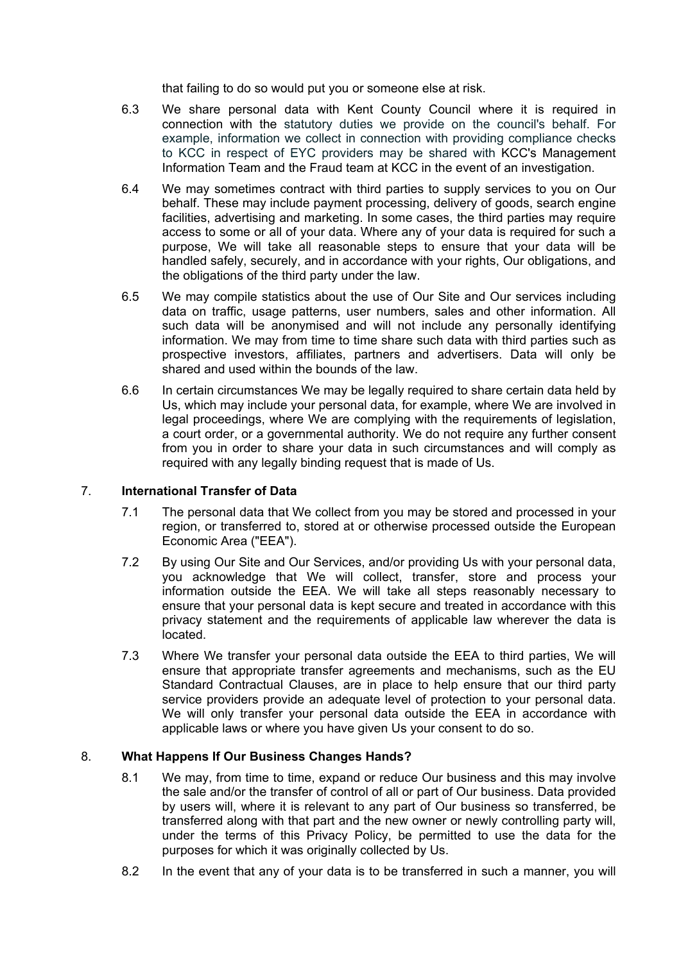that failing to do so would put you or someone else at risk.

- 6.3 We share personal data with Kent County Council where it is required in connection with the statutory duties we provide on the council's behalf. For example, information we collect in connection with providing compliance checks to KCC in respect of EYC providers may be shared with KCC's Management Information Team and the Fraud team at KCC in the event of an investigation.
- 6.4 We may sometimes contract with third parties to supply services to you on Our behalf. These may include payment processing, delivery of goods, search engine facilities, advertising and marketing. In some cases, the third parties may require access to some or all of your data. Where any of your data is required for such a purpose, We will take all reasonable steps to ensure that your data will be handled safely, securely, and in accordance with your rights, Our obligations, and the obligations of the third party under the law.
- 6.5 We may compile statistics about the use of Our Site and Our services including data on traffic, usage patterns, user numbers, sales and other information. All such data will be anonymised and will not include any personally identifying information. We may from time to time share such data with third parties such as prospective investors, affiliates, partners and advertisers. Data will only be shared and used within the bounds of the law.
- 6.6 In certain circumstances We may be legally required to share certain data held by Us, which may include your personal data, for example, where We are involved in legal proceedings, where We are complying with the requirements of legislation, a court order, or a governmental authority. We do not require any further consent from you in order to share your data in such circumstances and will comply as required with any legally binding request that is made of Us.

## 7. **International Transfer of Data**

- 7.1 The personal data that We collect from you may be stored and processed in your region, or transferred to, stored at or otherwise processed outside the European Economic Area ("EEA").
- 7.2 By using Our Site and Our Services, and/or providing Us with your personal data, you acknowledge that We will collect, transfer, store and process your information outside the EEA. We will take all steps reasonably necessary to ensure that your personal data is kept secure and treated in accordance with this privacy statement and the requirements of applicable law wherever the data is located.
- 7.3 Where We transfer your personal data outside the EEA to third parties, We will ensure that appropriate transfer agreements and mechanisms, such as the EU Standard Contractual Clauses, are in place to help ensure that our third party service providers provide an adequate level of protection to your personal data. We will only transfer your personal data outside the EEA in accordance with applicable laws or where you have given Us your consent to do so.

## 8. **What Happens If Our Business Changes Hands?**

- 8.1 We may, from time to time, expand or reduce Our business and this may involve the sale and/or the transfer of control of all or part of Our business. Data provided by users will, where it is relevant to any part of Our business so transferred, be transferred along with that part and the new owner or newly controlling party will, under the terms of this Privacy Policy, be permitted to use the data for the purposes for which it was originally collected by Us.
- 8.2 In the event that any of your data is to be transferred in such a manner, you will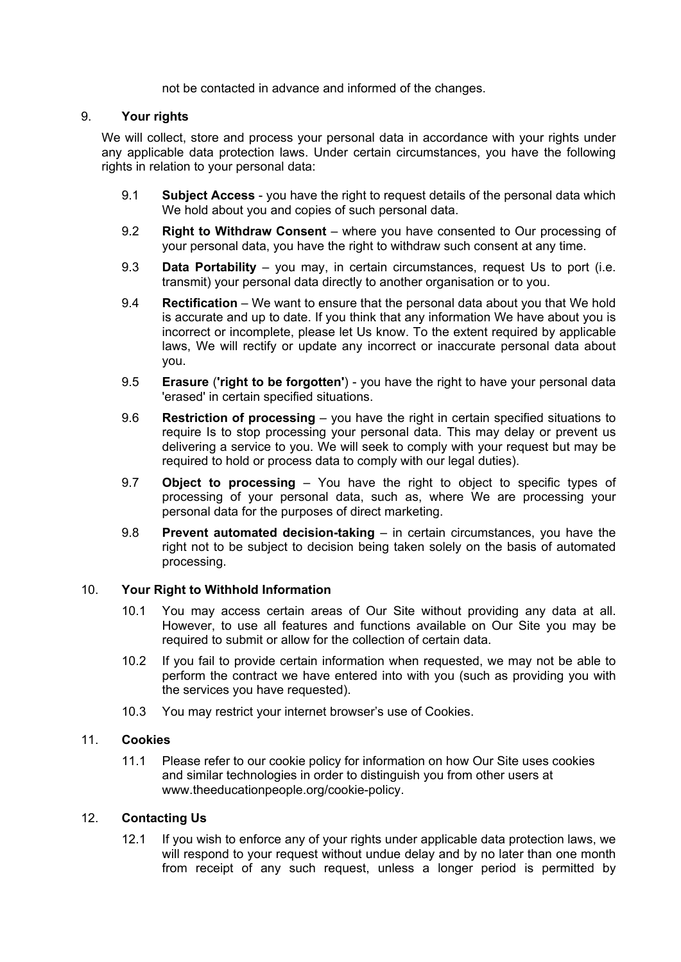not be contacted in advance and informed of the changes.

#### 9. **Your rights**

We will collect, store and process your personal data in accordance with your rights under any applicable data protection laws. Under certain circumstances, you have the following rights in relation to your personal data:

- 9.1 **Subject Access** you have the right to request details of the personal data which We hold about you and copies of such personal data.
- 9.2 **Right to Withdraw Consent** where you have consented to Our processing of your personal data, you have the right to withdraw such consent at any time.
- 9.3 **Data Portability** you may, in certain circumstances, request Us to port (i.e. transmit) your personal data directly to another organisation or to you.
- 9.4 **Rectification** We want to ensure that the personal data about you that We hold is accurate and up to date. If you think that any information We have about you is incorrect or incomplete, please let Us know. To the extent required by applicable laws, We will rectify or update any incorrect or inaccurate personal data about you.
- 9.5 **Erasure** (**'right to be forgotten'**) you have the right to have your personal data 'erased' in certain specified situations.
- 9.6 **Restriction of processing** you have the right in certain specified situations to require Is to stop processing your personal data. This may delay or prevent us delivering a service to you. We will seek to comply with your request but may be required to hold or process data to comply with our legal duties).
- 9.7 **Object to processing** You have the right to object to specific types of processing of your personal data, such as, where We are processing your personal data for the purposes of direct marketing.
- 9.8 **Prevent automated decision-taking** in certain circumstances, you have the right not to be subject to decision being taken solely on the basis of automated processing.

## 10. **Your Right to Withhold Information**

- 10.1 You may access certain areas of Our Site without providing any data at all. However, to use all features and functions available on Our Site you may be required to submit or allow for the collection of certain data.
- 10.2 If you fail to provide certain information when requested, we may not be able to perform the contract we have entered into with you (such as providing you with the services you have requested).
- 10.3 You may restrict your internet browser's use of Cookies.

#### 11. **Cookies**

11.1 Please refer to our cookie policy for information on how Our Site uses cookies and similar technologies in order to distinguish you from other users at www.theeducationpeople.org/cookie-policy.

#### 12. **Contacting Us**

12.1 If you wish to enforce any of your rights under applicable data protection laws, we will respond to your request without undue delay and by no later than one month from receipt of any such request, unless a longer period is permitted by